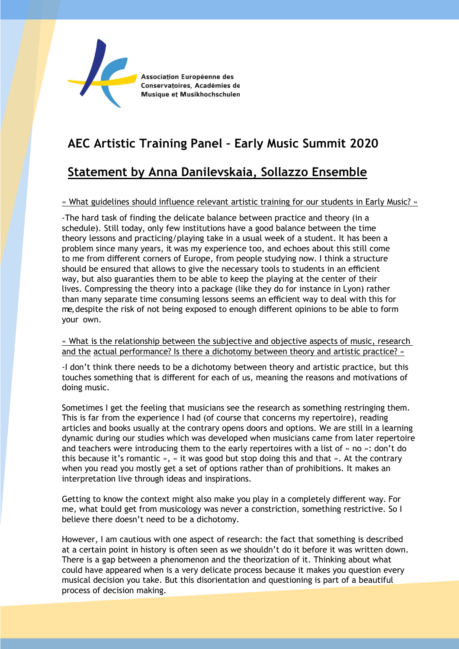

Association Européenne des Conservatoires, Académies de Musique et Musikhochschulen

# **AEC Artistic Training Panel – Early Music Summit 2020**

## **Statement by Anna Danilevskaia, Sollazzo Ensemble**

## « What guidelines should influence relevant artistic training for our students in Early Music? »

-The hard task of finding the delicate balance between practice and theory (in a schedule). Still today, only few institutions have a good balance between the time theory lessons and practicing/playing take in a usual week of a student. It has been a problem since many years, it was my experience too, and echoes about this still come to me from different corners of Europe, from people studying now. I think a structure should be ensured that allows to give the necessary tools to students in an efficient way, but also guaranties them to be able to keep the playing at the center of their lives. Compressing the theory into a package (like they do for instance in Lyon) rather than many separate time consuming lessons seems an efficient way to deal with this for me, despite the risk of not being exposed to enough different opinions to be able to form your own.

### « What is the relationship between the subjective and objective aspects of music, research and the actual performance? Is there a dichotomy between theory and artistic practice? »

-I don't think there needs to be a dichotomy between theory and artistic practice, but this touches something that is different for each of us, meaning the reasons and motivations of doing music.

Sometimes I get the feeling that musicians see the research as something restringing them. This is far from the experience I had (of course that concerns my repertoire), reading articles and books usually at the contrary opens doors and options. We are still in a learning dynamic during our studies which was developed when musicians came from later repertoire and teachers were introducing them to the early repertoires with a list of « no »: don't do this because it's romantic », « it was good but stop doing this and that ». At the contrary when you read you mostly get a set of options rather than of prohibitions. It makes an interpretation live through ideas and inspirations.

Getting to know the context might also make you play in a completely different way. For me, what bould get from musicology was never a constriction, something restrictive. So I believe there doesn't need to be a dichotomy.

However, I am cautious with one aspect of research: the fact that something is described at a certain point in history is often seen as we shouldn't do it before it was written down. There is a gap between a phenomenon and the theorization of it. Thinking about what could have appeared when is a very delicate process because it makes you question every musical decision you take. But this disorientation and questioning is part of a beautiful process of decision making.